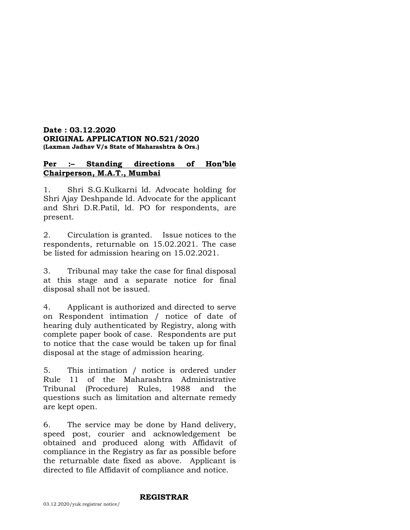#### **Date : 03.12.2020 ORIGINAL APPLICATION NO.521/2020 (Laxman Jadhav V/s State of Maharashtra & Ors.)**

# **Per :– Standing directions of Hon'ble Chairperson, M.A.T., Mumbai**

1. Shri S.G.Kulkarni ld. Advocate holding for Shri Ajay Deshpande ld. Advocate for the applicant and Shri D.R.Patil, ld. PO for respondents, are present.

2. Circulation is granted. Issue notices to the respondents, returnable on 15.02.2021. The case be listed for admission hearing on 15.02.2021.

3. Tribunal may take the case for final disposal at this stage and a separate notice for final disposal shall not be issued.

4. Applicant is authorized and directed to serve on Respondent intimation / notice of date of hearing duly authenticated by Registry, along with complete paper book of case. Respondents are put to notice that the case would be taken up for final disposal at the stage of admission hearing.

5. This intimation / notice is ordered under Rule 11 of the Maharashtra Administrative Tribunal (Procedure) Rules, 1988 and the questions such as limitation and alternate remedy are kept open.

6. The service may be done by Hand delivery, speed post, courier and acknowledgement be obtained and produced along with Affidavit of compliance in the Registry as far as possible before the returnable date fixed as above. Applicant is directed to file Affidavit of compliance and notice.

#### **REGISTRAR**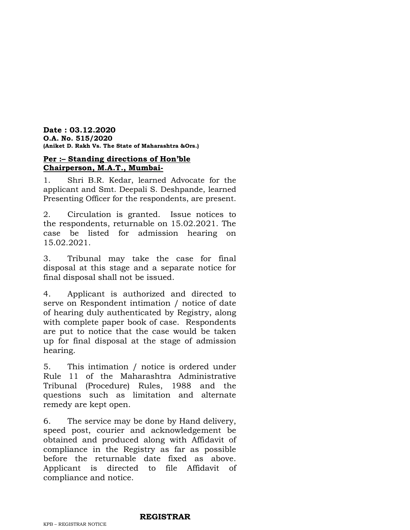**Date : 03.12.2020 O.A. No. 515/2020 (Aniket D. Rakh Vs. The State of Maharashtra &Ors.)**

# **Per :– Standing directions of Hon'ble Chairperson, M.A.T., Mumbai-**

1. Shri B.R. Kedar, learned Advocate for the applicant and Smt. Deepali S. Deshpande, learned Presenting Officer for the respondents, are present.

2. Circulation is granted. Issue notices to the respondents, returnable on 15.02.2021. The case be listed for admission hearing on 15.02.2021.

3. Tribunal may take the case for final disposal at this stage and a separate notice for final disposal shall not be issued.

4. Applicant is authorized and directed to serve on Respondent intimation / notice of date of hearing duly authenticated by Registry, along with complete paper book of case. Respondents are put to notice that the case would be taken up for final disposal at the stage of admission hearing.

5. This intimation / notice is ordered under Rule 11 of the Maharashtra Administrative Tribunal (Procedure) Rules, 1988 and the questions such as limitation and alternate remedy are kept open.

6. The service may be done by Hand delivery, speed post, courier and acknowledgement be obtained and produced along with Affidavit of compliance in the Registry as far as possible before the returnable date fixed as above. Applicant is directed to file Affidavit of compliance and notice.

### **REGISTRAR**